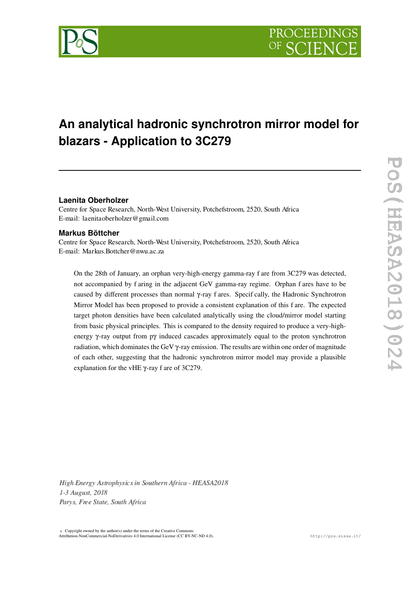

# **An analytical hadronic synchrotron mirror model for blazars - Application to 3C279**

## **Laenita Oberholzer**

Centre for Space Research, North-West University, Potchefstroom, 2520, South Africa E-mail: laenitaoberholzer@gmail.com

### **Markus Böttcher**

Centre for Space Research, North-West University, Potchefstroom, 2520, South Africa E-mail: Markus.Bottcher@nwu.ac.za

On the 28th of January, an orphan very-high-energy gamma-ray f are from 3C279 was detected, not accompanied by f aring in the adjacent GeV gamma-ray regime. Orphan f ares have to be caused by different processes than normal γ-ray f ares. Specif cally, the Hadronic Synchrotron Mirror Model has been proposed to provide a consistent explanation of this f are. The expected target photon densities have been calculated analytically using the cloud/mirror model starting from basic physical principles. This is compared to the density required to produce a very-highenergy γ-ray output from pγ induced cascades approximately equal to the proton synchrotron radiation, which dominates the GeV γ-ray emission. The results are within one order of magnitude of each other, suggesting that the hadronic synchrotron mirror model may provide a plausible explanation for the vHE γ-ray f are of 3C279.

High Energy Astrophysics in Southern Africa - HEASA2018 1-3 August, 2018 Parys, Free State, South Africa

 $c$  Copyright owned by the author(s) under the terms of the Creative Common Attribution-NonCommercial-NoDerivatives 4.0 International License (CC BY-NC-ND 4.0). http://pos.sissa.it/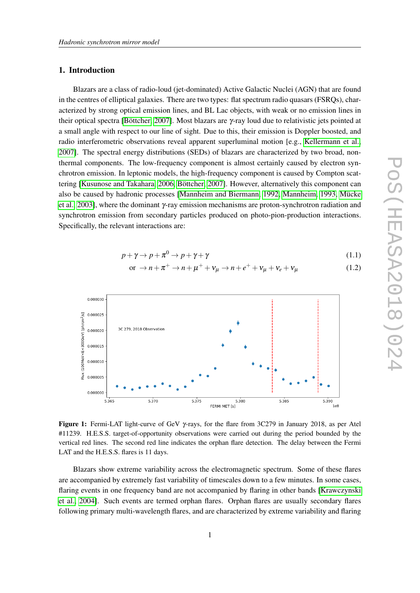## 1. Introduction

Blazars are a class of radio-loud (jet-dominated) Active Galactic Nuclei (AGN) that are found in the centres of elliptical galaxies. There are two types: flat spectrum radio quasars (FSRQs), characterized by strong optical emission lines, and BL Lac objects, with weak or no emission lines in their optical spectra [\[Böttcher, 2007\]](#page-5-0). Most blazars are γ-ray loud due to relativistic jets pointed at a small angle with respect to our line of sight. Due to this, their emission is Doppler boosted, and radio interferometric observations reveal apparent superluminal motion [e.g., [Kellermann et al.,](#page-5-1) [2007\]](#page-5-1). The spectral energy distributions (SEDs) of blazars are characterized by two broad, nonthermal components. The low-frequency component is almost certainly caused by electron synchrotron emission. In leptonic models, the high-frequency component is caused by Compton scattering [\[Kusunose and Takahara, 2006,](#page-5-2) [Böttcher, 2007\]](#page-5-0). However, alternatively this component can also be caused by hadronic processes [\[Mannheim and Biermann, 1992,](#page-5-3) [Mannheim, 1993,](#page-6-0) [Mücke](#page-6-1) [et al., 2003\]](#page-6-1), where the dominant γ-ray emission mechanisms are proton-synchrotron radiation and synchrotron emission from secondary particles produced on photo-pion-production interactions. Specifically, the relevant interactions are:

$$
p + \gamma \to p + \pi^0 \to p + \gamma + \gamma \tag{1.1}
$$

or 
$$
\rightarrow n + \pi^+ \rightarrow n + \mu^+ + \nu_\mu \rightarrow n + e^+ + \nu_\mu + \nu_e + \nu_\mu
$$
 (1.2)



<span id="page-1-0"></span>Figure 1: Fermi-LAT light-curve of GeV γ-rays, for the flare from 3C279 in January 2018, as per Atel #11239. H.E.S.S. target-of-opportunity observations were carried out during the period bounded by the vertical red lines. The second red line indicates the orphan flare detection. The delay between the Fermi LAT and the H.E.S.S. flares is 11 days.

Blazars show extreme variability across the electromagnetic spectrum. Some of these flares are accompanied by extremely fast variability of timescales down to a few minutes. In some cases, flaring events in one frequency band are not accompanied by flaring in other bands [\[Krawczynski](#page-5-4) [et al., 2004\]](#page-5-4). Such events are termed orphan flares. Orphan flares are usually secondary flares following primary multi-wavelength flares, and are characterized by extreme variability and flaring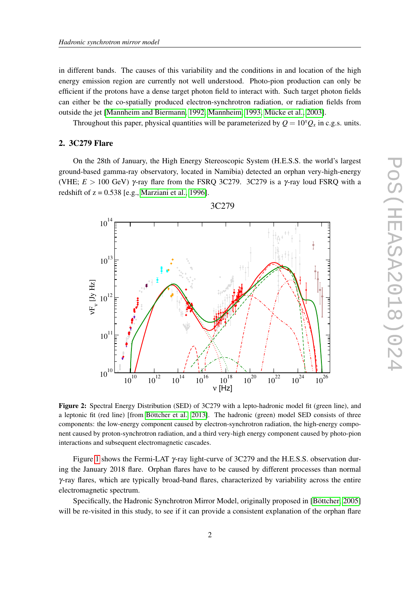in different bands. The causes of this variability and the conditions in and location of the high energy emission region are currently not well understood. Photo-pion production can only be efficient if the protons have a dense target photon field to interact with. Such target photon fields can either be the co-spatially produced electron-synchrotron radiation, or radiation fields from outside the jet [\[Mannheim and Biermann, 1992,](#page-5-3) [Mannheim, 1993,](#page-6-0) [Mücke et al., 2003\]](#page-6-1).

Throughout this paper, physical quantities will be parameterized by  $Q = 10^x Q_x$  in c.g.s. units.

# 2. 3C279 Flare

On the 28th of January, the High Energy Stereoscopic System (H.E.S.S. the world's largest ground-based gamma-ray observatory, located in Namibia) detected an orphan very-high-energy (VHE;  $E > 100$  GeV)  $\gamma$ -ray flare from the FSRQ 3C279. 3C279 is a  $\gamma$ -ray loud FSRQ with a redshift of  $z = 0.538$  [e.g., [Marziani et al., 1996\]](#page-6-2).



<span id="page-2-0"></span>Figure 2: Spectral Energy Distribution (SED) of 3C279 with a lepto-hadronic model fit (green line), and a leptonic fit (red line) [from [Böttcher et al., 2013\]](#page-5-5). The hadronic (green) model SED consists of three components: the low-energy component caused by electron-synchrotron radiation, the high-energy component caused by proton-synchrotron radiation, and a third very-high energy component caused by photo-pion interactions and subsequent electromagnetic cascades.

Figure [1](#page-1-0) shows the Fermi-LAT γ-ray light-curve of 3C279 and the H.E.S.S. observation during the January 2018 flare. Orphan flares have to be caused by different processes than normal γ-ray flares, which are typically broad-band flares, characterized by variability across the entire electromagnetic spectrum.

Specifically, the Hadronic Synchrotron Mirror Model, originally proposed in [\[Böttcher, 2005\]](#page-5-6) will be re-visited in this study, to see if it can provide a consistent explanation of the orphan flare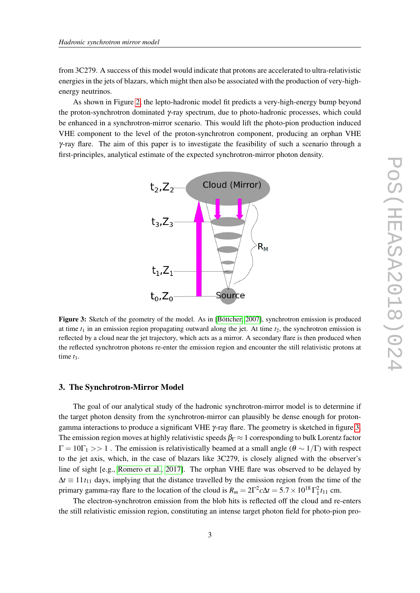from 3C279. A success of this model would indicate that protons are accelerated to ultra-relativistic energies in the jets of blazars, which might then also be associated with the production of very-highenergy neutrinos.

As shown in Figure [2,](#page-2-0) the lepto-hadronic model fit predicts a very-high-energy bump beyond the proton-synchrotron dominated γ-ray spectrum, due to photo-hadronic processes, which could be enhanced in a synchrotron-mirror scenario. This would lift the photo-pion production induced VHE component to the level of the proton-synchrotron component, producing an orphan VHE  $\gamma$ -ray flare. The aim of this paper is to investigate the feasibility of such a scenario through a first-principles, analytical estimate of the expected synchrotron-mirror photon density.



<span id="page-3-0"></span>Figure 3: Sketch of the geometry of the model. As in [\[Böttcher, 2007\]](#page-5-0), synchrotron emission is produced at time  $t_1$  in an emission region propagating outward along the jet. At time  $t_2$ , the synchrotron emission is reflected by a cloud near the jet trajectory, which acts as a mirror. A secondary flare is then produced when the reflected synchrotron photons re-enter the emission region and encounter the still relativistic protons at time  $t_3$ .

#### 3. The Synchrotron-Mirror Model

The goal of our analytical study of the hadronic synchrotron-mirror model is to determine if the target photon density from the synchrotron-mirror can plausibly be dense enough for protongamma interactions to produce a significant VHE γ-ray flare. The geometry is sketched in figure [3.](#page-3-0) The emission region moves at highly relativistic speeds  $\beta_{\Gamma} \approx 1$  corresponding to bulk Lorentz factor  $\Gamma = 10\Gamma_1 >> 1$ . The emission is relativistically beamed at a small angle  $(\theta \sim 1/\Gamma)$  with respect to the jet axis, which, in the case of blazars like 3C279, is closely aligned with the observer's line of sight [e.g., [Romero et al., 2017\]](#page-6-3). The orphan VHE flare was observed to be delayed by  $\Delta t \equiv 11 t_{11}$  days, implying that the distance travelled by the emission region from the time of the primary gamma-ray flare to the location of the cloud is  $R_m = 2\Gamma^2 c\Delta t = 5.7 \times 10^{18} \Gamma_1^2 t_{11}$  cm.

The electron-synchrotron emission from the blob hits is reflected off the cloud and re-enters the still relativistic emission region, constituting an intense target photon field for photo-pion pro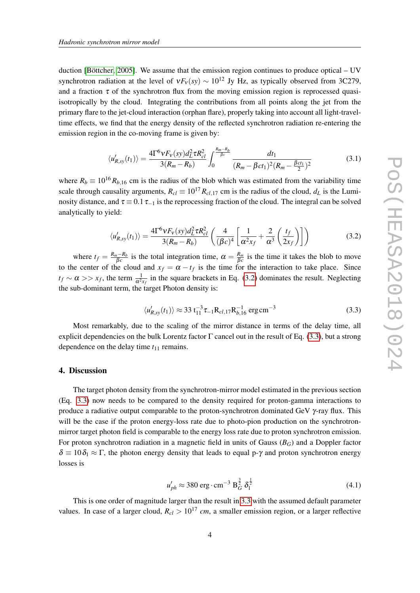duction [\[Böttcher, 2005\]](#page-5-6). We assume that the emission region continues to produce optical – UV synchrotron radiation at the level of  $vF_v(sy) \sim 10^{12}$  Jy Hz, as typically observed from 3C279, and a fraction  $\tau$  of the synchrotron flux from the moving emission region is reprocessed quasiisotropically by the cloud. Integrating the contributions from all points along the jet from the primary flare to the jet-cloud interaction (orphan flare), properly taking into account all light-traveltime effects, we find that the energy density of the reflected synchrotron radiation re-entering the emission region in the co-moving frame is given by:

$$
\langle u'_{R,sy}(t_1) \rangle = \frac{4\Gamma^6 v F_v(sy) d_L^2 \tau R_{cl}^2}{3(R_m - R_b)} \int_0^{\frac{R_m - R_b}{\beta c}} \frac{dt_1}{(R_m - \beta c t_1)^2 (R_m - \frac{\beta c t_1}{2})^2}
$$
(3.1)

where  $R_b \equiv 10^{16} R_{b,16}$  cm is the radius of the blob which was estimated from the variability time scale through causality arguments,  $R_{cl} \equiv 10^{17} R_{cl,17}$  cm is the radius of the cloud,  $d_L$  is the Luminosity distance, and  $\tau \equiv 0.1 \tau_{-1}$  is the reprocessing fraction of the cloud. The integral can be solved analytically to yield:

<span id="page-4-0"></span>
$$
\langle u'_{R,sy}(t_1) \rangle = \frac{4\Gamma^6 V F_V(sy) d_L^2 \tau R_{cl}^2}{3(R_m - R_b)} \left( \frac{4}{(\beta c)^4} \left[ \frac{1}{\alpha^2 x_f} + \frac{2}{\alpha^3} \left( \frac{t_f}{2x_f} \right) \right] \right)
$$
(3.2)

where  $t_f = \frac{R_m - R_b}{\beta_c}$  $\frac{n - R_b}{\beta c}$  is the total integration time,  $\alpha = \frac{R_m}{\beta c}$  $\frac{R_m}{\beta c}$  is the time it takes the blob to move to the center of the cloud and  $x_f = \alpha - t_f$  is the time for the interaction to take place. Since  $t_f \sim \alpha >> x_f$ , the term  $\frac{1}{\alpha^2 x_f}$  in the square brackets in Eq. [\(3.2\)](#page-4-0) dominates the result. Neglecting the sub-dominant term, the target Photon density is:

<span id="page-4-1"></span>
$$
\langle u'_{R,sy}(t_1) \rangle \approx 33 \, \mathrm{t}_{11}^{-3} \, \tau_{-1} \, \mathrm{R}_{cl,17} \, \mathrm{R}_{b,16}^{-1} \, \mathrm{erg \, cm^{-3}} \tag{3.3}
$$

Most remarkably, due to the scaling of the mirror distance in terms of the delay time, all explicit dependencies on the bulk Lorentz factor  $\Gamma$  cancel out in the result of Eq. [\(3.3\)](#page-4-1), but a strong dependence on the delay time  $t_{11}$  remains.

## 4. Discussion

The target photon density from the synchrotron-mirror model estimated in the previous section (Eq. [3.3\)](#page-4-1) now needs to be compared to the density required for proton-gamma interactions to produce a radiative output comparable to the proton-synchrotron dominated GeV  $\gamma$ -ray flux. This will be the case if the proton energy-loss rate due to photo-pion production on the synchrotronmirror target photon field is comparable to the energy loss rate due to proton synchrotron emission. For proton synchrotron radiation in a magnetic field in units of Gauss (*BG*) and a Doppler factor  $\delta = 10 \delta_1 \approx \Gamma$ , the photon energy density that leads to equal p- $\gamma$  and proton synchrotron energy losses is

$$
u'_{ph} \approx 380 \text{ erg} \cdot \text{cm}^{-3} \text{ B}_G^{\frac{3}{2}} \delta_1^{\frac{1}{2}}
$$
 (4.1)

This is one order of magnitude larger than the result in [3.3](#page-4-1) with the assumed default parameter values. In case of a larger cloud,  $R_{cl} > 10^{17}$  *cm*, a smaller emission region, or a larger reflective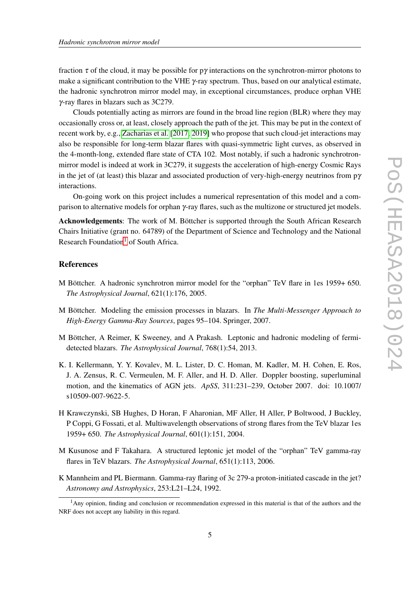fraction  $\tau$  of the cloud, it may be possible for py interactions on the synchrotron-mirror photons to make a significant contribution to the VHE  $\gamma$ -ray spectrum. Thus, based on our analytical estimate, the hadronic synchrotron mirror model may, in exceptional circumstances, produce orphan VHE γ-ray flares in blazars such as 3C279.

Clouds potentially acting as mirrors are found in the broad line region (BLR) where they may occasionally cross or, at least, closely approach the path of the jet. This may be put in the context of recent work by, e.g., [Zacharias et al.](#page-6-4) [\[2017,](#page-6-4) [2019\]](#page-6-5) who propose that such cloud-jet interactions may also be responsible for long-term blazar flares with quasi-symmetric light curves, as observed in the 4-month-long, extended flare state of CTA 102. Most notably, if such a hadronic synchrotronmirror model is indeed at work in 3C279, it suggests the acceleration of high-energy Cosmic Rays in the jet of (at least) this blazar and associated production of very-high-energy neutrinos from  $p\gamma$ interactions.

On-going work on this project includes a numerical representation of this model and a comparison to alternative models for orphan γ-ray flares, such as the multizone or structured jet models.

Acknowledgements: The work of M. Böttcher is supported through the South African Research Chairs Initiative (grant no. 64789) of the Department of Science and Technology and the National Research Foundation<sup>[1](#page-5-7)</sup> of South Africa.

#### References

- <span id="page-5-6"></span>M Böttcher. A hadronic synchrotron mirror model for the "orphan" TeV flare in 1es 1959+ 650. *The Astrophysical Journal*, 621(1):176, 2005.
- <span id="page-5-0"></span>M Böttcher. Modeling the emission processes in blazars. In *The Multi-Messenger Approach to High-Energy Gamma-Ray Sources*, pages 95–104. Springer, 2007.
- <span id="page-5-5"></span>M Böttcher, A Reimer, K Sweeney, and A Prakash. Leptonic and hadronic modeling of fermidetected blazars. *The Astrophysical Journal*, 768(1):54, 2013.
- <span id="page-5-1"></span>K. I. Kellermann, Y. Y. Kovalev, M. L. Lister, D. C. Homan, M. Kadler, M. H. Cohen, E. Ros, J. A. Zensus, R. C. Vermeulen, M. F. Aller, and H. D. Aller. Doppler boosting, superluminal motion, and the kinematics of AGN jets. *ApSS*, 311:231–239, October 2007. doi: 10.1007/ s10509-007-9622-5.
- <span id="page-5-4"></span>H Krawczynski, SB Hughes, D Horan, F Aharonian, MF Aller, H Aller, P Boltwood, J Buckley, P Coppi, G Fossati, et al. Multiwavelength observations of strong flares from the TeV blazar 1es 1959+ 650. *The Astrophysical Journal*, 601(1):151, 2004.
- <span id="page-5-2"></span>M Kusunose and F Takahara. A structured leptonic jet model of the "orphan" TeV gamma-ray flares in TeV blazars. *The Astrophysical Journal*, 651(1):113, 2006.
- <span id="page-5-3"></span>K Mannheim and PL Biermann. Gamma-ray flaring of 3c 279-a proton-initiated cascade in the jet? *Astronomy and Astrophysics*, 253:L21–L24, 1992.

<span id="page-5-7"></span><sup>1</sup>Any opinion, finding and conclusion or recommendation expressed in this material is that of the authors and the NRF does not accept any liability in this regard.